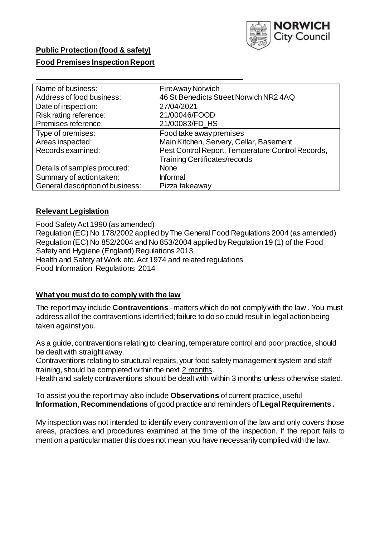

# **Public Protection(food & safety)**

# **Food Premises Inspection Report**

| Name of business:                | FireAway Norwich                                  |
|----------------------------------|---------------------------------------------------|
| Address of food business:        | 46 St Benedicts Street Norwich NR2 4AQ            |
| Date of inspection:              | 27/04/2021                                        |
| Risk rating reference:           | 21/00046/FOOD                                     |
| Premises reference:              | 21/00083/FD_HS                                    |
| Type of premises:                | Food take away premises                           |
| Areas inspected:                 | Main Kitchen, Servery, Cellar, Basement           |
| Records examined:                | Pest Control Report, Temperature Control Records, |
|                                  | <b>Training Certificates/records</b>              |
| Details of samples procured:     | <b>None</b>                                       |
| Summary of action taken:         | Informal                                          |
| General description of business: | Pizza takeaway                                    |

## **Relevant Legislation**

 Food SafetyAct 1990 (as amended) Regulation(EC) No 178/2002 applied byThe General Food Regulations 2004 (as amended) Regulation (EC) No 852/2004 and No 853/2004 applied by Regulation 19 (1) of the Food Safetyand Hygiene (England) Regulations 2013 Health and Safety at Work etc. Act 1974 and related regulations Food Information Regulations 2014

#### **What you must do to comply with the law**

 The report may include **Contraventions** - matters which do not complywith the law . You must address all of the contraventions identified; failure to do so could result in legal action being taken against you.

 As a guide, contraventions relating to cleaning, temperature control and poor practice, should be dealt with straight away.

 Contraventions relating to structural repairs, your food safety management system and staff training, should be completed within the next 2 months.

Health and safety contraventions should be dealt with within 3 months unless otherwise stated.

 To assist you the report may also include **Observations** of current practice, useful **Information**, **Recommendations** of good practice and reminders of **Legal Requirements .** 

 My inspection was not intended to identify every contravention of the law and only covers those areas, practices and procedures examined at the time of the inspection. If the report fails to mention a particular matter this does not mean you have necessarily complied with the law.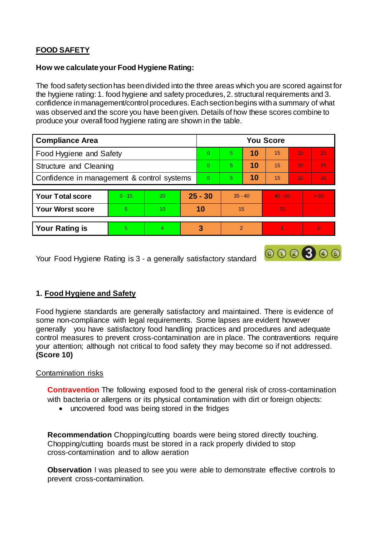# **FOOD SAFETY**

# **How we calculateyour Food Hygiene Rating:**

 The food safetysectionhas beendivided into the three areas which you are scored against for the hygiene rating: 1. food hygiene and safety procedures, 2. structural requirements and 3. confidence inmanagement/control procedures. Eachsectionbegins witha summary of what was observed and the score you have beengiven. Details of how these scores combine to produce your overall food hygiene rating are shown in the table.

| <b>Compliance Area</b>                     |          |           |           | <b>You Score</b> |                |    |           |                 |                |  |  |
|--------------------------------------------|----------|-----------|-----------|------------------|----------------|----|-----------|-----------------|----------------|--|--|
| Food Hygiene and Safety                    |          |           |           | 0                | 5              | 10 | 15        | 20              | 25             |  |  |
| Structure and Cleaning                     |          |           |           | $\Omega$         | 5              | 10 | 15        | 20              | 25             |  |  |
| Confidence in management & control systems |          |           | $\Omega$  | 5                | 10             | 15 | 20        | 30 <sup>°</sup> |                |  |  |
|                                            |          |           |           |                  |                |    |           |                 |                |  |  |
| <b>Your Total score</b>                    | $0 - 15$ | <b>20</b> | $25 - 30$ |                  | $35 - 40$      |    | $45 - 50$ |                 | > 50           |  |  |
| <b>Your Worst score</b>                    | 5.       | 10        | 10        |                  | 15             |    | 20        |                 |                |  |  |
|                                            |          |           |           |                  |                |    |           |                 |                |  |  |
| <b>Your Rating is</b>                      | 5.       | 4         |           | 3                | $\overline{2}$ |    |           |                 | $\overline{0}$ |  |  |

Your Food Hygiene Rating is 3 - a generally satisfactory standard

# **1. Food Hygiene and Safety**

 Food hygiene standards are generally satisfactory and maintained. There is evidence of some non-compliance with legal requirements. Some lapses are evident however generally you have satisfactory food handling practices and procedures and adequate control measures to prevent cross-contamination are in place. The contraventions require your attention; although not critical to food safety they may become so if not addressed. **(Score 10)** 

000800

# Contamination risks

 **Contravention** The following exposed food to the general risk of cross-contamination with bacteria or allergens or its physical contamination with dirt or foreign objects:

uncovered food was being stored in the fridges

 **Recommendation** Chopping/cutting boards were being stored directly touching. Chopping/cutting boards must be stored in a rack properly divided to stop cross-contamination and to allow aeration

 **Observation** I was pleased to see you were able to demonstrate effective controls to prevent cross-contamination.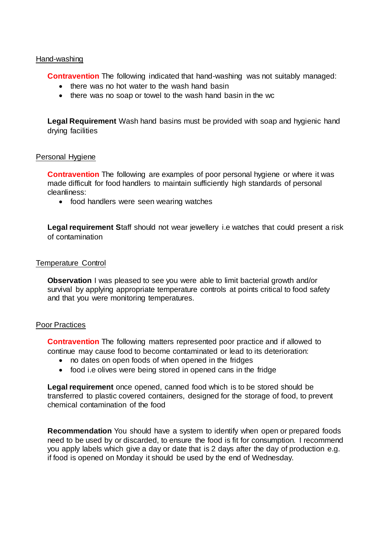#### Hand-washing

**Contravention** The following indicated that hand-washing was not suitably managed:

- there was no hot water to the wash hand basin
- there was no soap or towel to the wash hand basin in the wc

 **Legal Requirement** Wash hand basins must be provided with soap and hygienic hand drying facilities

#### Personal Hygiene

 **Contravention** The following are examples of poor personal hygiene or where it was made difficult for food handlers to maintain sufficiently high standards of personal cleanliness:

• food handlers were seen wearing watches

 **Legal requirement S**taff should not wear jewellery i.e watches that could present a risk of contamination

#### Temperature Control

 **Observation** I was pleased to see you were able to limit bacterial growth and/or survival by applying appropriate temperature controls at points critical to food safety and that you were monitoring temperatures.

#### Poor Practices

 **Contravention** The following matters represented poor practice and if allowed to continue may cause food to become contaminated or lead to its deterioration:

- no dates on open foods of when opened in the fridges
- food i.e olives were being stored in opened cans in the fridge

 **Legal requirement** once opened, canned food which is to be stored should be transferred to plastic covered containers, designed for the storage of food, to prevent chemical contamination of the food

 **Recommendation** You should have a system to identify when open or prepared foods need to be used by or discarded, to ensure the food is fit for consumption. I recommend you apply labels which give a day or date that is 2 days after the day of production e.g. if food is opened on Monday it should be used by the end of Wednesday.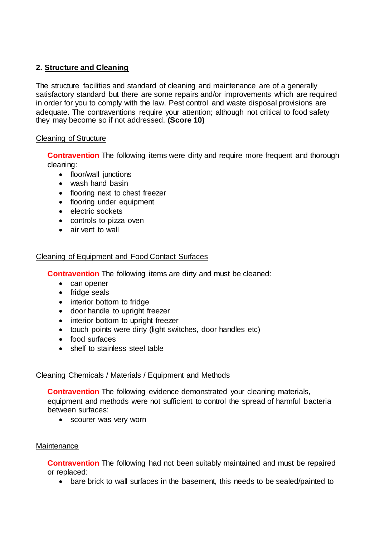# **2. Structure and Cleaning**

 The structure facilities and standard of cleaning and maintenance are of a generally satisfactory standard but there are some repairs and/or improvements which are required in order for you to comply with the law. Pest control and waste disposal provisions are adequate. The contraventions require your attention; although not critical to food safety they may become so if not addressed. **(Score 10)** 

# Cleaning of Structure

 **Contravention** The following items were dirty and require more frequent and thorough cleaning:

- floor/wall junctions
- wash hand basin
- flooring next to chest freezer
- flooring under equipment
- electric sockets
- controls to pizza oven
- air vent to wall

# Cleaning of Equipment and Food Contact Surfaces

**Contravention** The following items are dirty and must be cleaned:

- can opener
- fridge seals
- interior bottom to fridge
- door handle to upright freezer
- interior bottom to upright freezer
- touch points were dirty (light switches, door handles etc)
- food surfaces
- shelf to stainless steel table

## Cleaning Chemicals / Materials / Equipment and Methods

 **Contravention** The following evidence demonstrated your cleaning materials, equipment and methods were not sufficient to control the spread of harmful bacteria between surfaces:

• scourer was very worn

## **Maintenance**

 **Contravention** The following had not been suitably maintained and must be repaired or replaced:

bare brick to wall surfaces in the basement, this needs to be sealed/painted to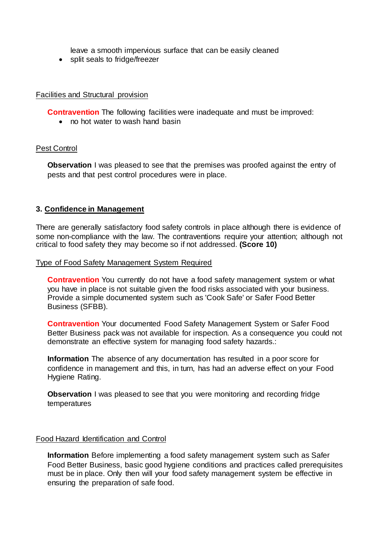leave a smooth impervious surface that can be easily cleaned

• split seals to fridge/freezer

# Facilities and Structural provision

**Contravention** The following facilities were inadequate and must be improved:

• no hot water to wash hand basin

#### Pest Control

 **Observation** I was pleased to see that the premises was proofed against the entry of pests and that pest control procedures were in place.

## **3. Confidence in Management**

 There are generally satisfactory food safety controls in place although there is evidence of some non-compliance with the law. The contraventions require your attention; although not critical to food safety they may become so if not addressed. **(Score 10)** 

#### Type of Food Safety Management System Required

 **Contravention** You currently do not have a food safety management system or what you have in place is not suitable given the food risks associated with your business. Provide a simple documented system such as 'Cook Safe' or Safer Food Better Business (SFBB).

 **Contravention** Your documented Food Safety Management System or Safer Food Better Business pack was not available for inspection. As a consequence you could not demonstrate an effective system for managing food safety hazards.:

 **Information** The absence of any documentation has resulted in a poor score for confidence in management and this, in turn, has had an adverse effect on your Food Hygiene Rating.

 **Observation** I was pleased to see that you were monitoring and recording fridge temperatures

#### Food Hazard Identification and Control

 **Information** Before implementing a food safety management system such as Safer Food Better Business, basic good hygiene conditions and practices called prerequisites must be in place. Only then will your food safety management system be effective in ensuring the preparation of safe food.